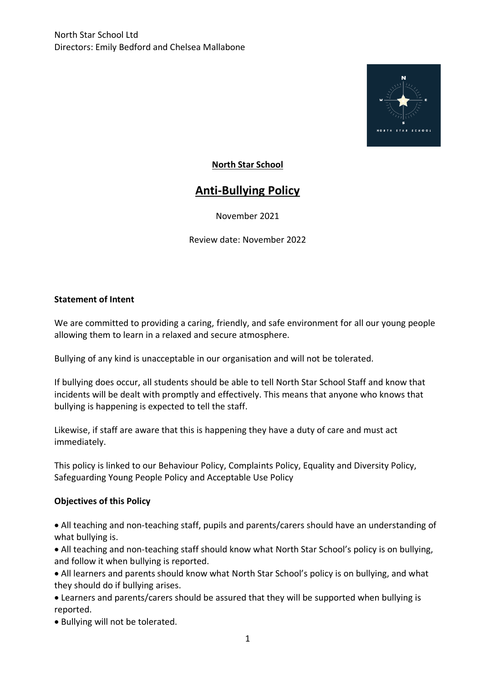

## **North Star School**

# **Anti-Bullying Policy**

November 2021

Review date: November 2022

#### **Statement of Intent**

We are committed to providing a caring, friendly, and safe environment for all our young people allowing them to learn in a relaxed and secure atmosphere.

Bullying of any kind is unacceptable in our organisation and will not be tolerated.

If bullying does occur, all students should be able to tell North Star School Staff and know that incidents will be dealt with promptly and effectively. This means that anyone who knows that bullying is happening is expected to tell the staff.

Likewise, if staff are aware that this is happening they have a duty of care and must act immediately.

This policy is linked to our Behaviour Policy, Complaints Policy, Equality and Diversity Policy, Safeguarding Young People Policy and Acceptable Use Policy

#### **Objectives of this Policy**

• All teaching and non-teaching staff, pupils and parents/carers should have an understanding of what bullying is.

• All teaching and non-teaching staff should know what North Star School's policy is on bullying, and follow it when bullying is reported.

• All learners and parents should know what North Star School's policy is on bullying, and what they should do if bullying arises.

• Learners and parents/carers should be assured that they will be supported when bullying is reported.

• Bullying will not be tolerated.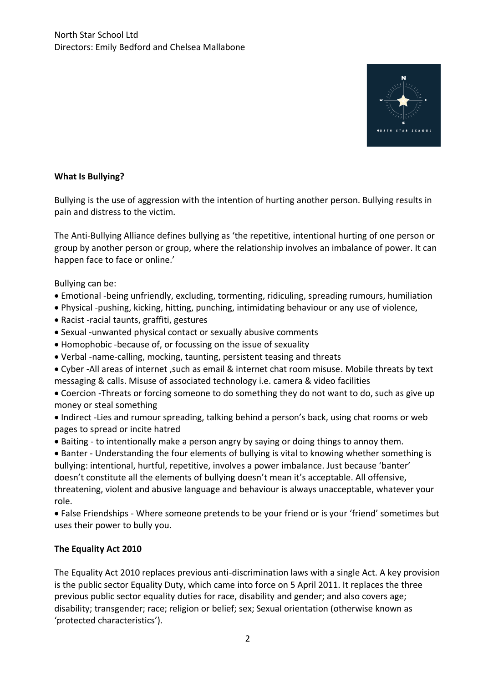

## **What Is Bullying?**

Bullying is the use of aggression with the intention of hurting another person. Bullying results in pain and distress to the victim.

The Anti-Bullying Alliance defines bullying as 'the repetitive, intentional hurting of one person or group by another person or group, where the relationship involves an imbalance of power. It can happen face to face or online.'

Bullying can be:

- Emotional -being unfriendly, excluding, tormenting, ridiculing, spreading rumours, humiliation
- Physical -pushing, kicking, hitting, punching, intimidating behaviour or any use of violence,
- Racist -racial taunts, graffiti, gestures
- Sexual -unwanted physical contact or sexually abusive comments
- Homophobic -because of, or focussing on the issue of sexuality
- Verbal -name-calling, mocking, taunting, persistent teasing and threats
- Cyber -All areas of internet ,such as email & internet chat room misuse. Mobile threats by text messaging & calls. Misuse of associated technology i.e. camera & video facilities
- Coercion -Threats or forcing someone to do something they do not want to do, such as give up money or steal something
- Indirect -Lies and rumour spreading, talking behind a person's back, using chat rooms or web pages to spread or incite hatred
- Baiting to intentionally make a person angry by saying or doing things to annoy them.
- Banter Understanding the four elements of bullying is vital to knowing whether something is bullying: intentional, hurtful, repetitive, involves a power imbalance. Just because 'banter' doesn't constitute all the elements of bullying doesn't mean it's acceptable. All offensive, threatening, violent and abusive language and behaviour is always unacceptable, whatever your role.

• False Friendships - Where someone pretends to be your friend or is your 'friend' sometimes but uses their power to bully you.

## **The Equality Act 2010**

The Equality Act 2010 replaces previous anti-discrimination laws with a single Act. A key provision is the public sector Equality Duty, which came into force on 5 April 2011. It replaces the three previous public sector equality duties for race, disability and gender; and also covers age; disability; transgender; race; religion or belief; sex; Sexual orientation (otherwise known as 'protected characteristics').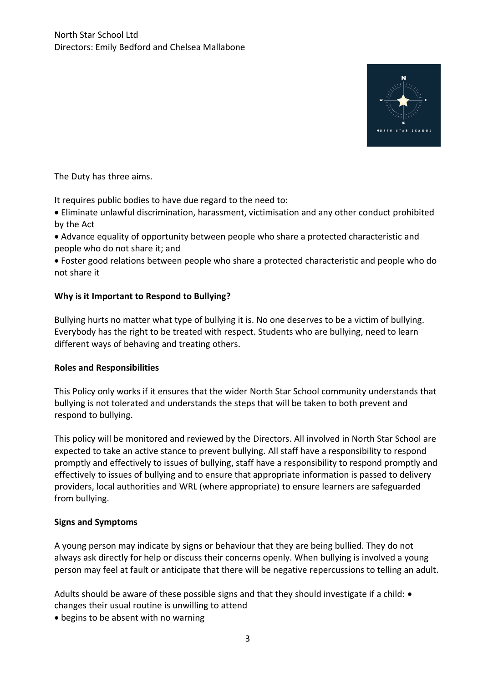

The Duty has three aims.

It requires public bodies to have due regard to the need to:

- Eliminate unlawful discrimination, harassment, victimisation and any other conduct prohibited by the Act
- Advance equality of opportunity between people who share a protected characteristic and people who do not share it; and
- Foster good relations between people who share a protected characteristic and people who do not share it

## **Why is it Important to Respond to Bullying?**

Bullying hurts no matter what type of bullying it is. No one deserves to be a victim of bullying. Everybody has the right to be treated with respect. Students who are bullying, need to learn different ways of behaving and treating others.

## **Roles and Responsibilities**

This Policy only works if it ensures that the wider North Star School community understands that bullying is not tolerated and understands the steps that will be taken to both prevent and respond to bullying.

This policy will be monitored and reviewed by the Directors. All involved in North Star School are expected to take an active stance to prevent bullying. All staff have a responsibility to respond promptly and effectively to issues of bullying, staff have a responsibility to respond promptly and effectively to issues of bullying and to ensure that appropriate information is passed to delivery providers, local authorities and WRL (where appropriate) to ensure learners are safeguarded from bullying.

## **Signs and Symptoms**

A young person may indicate by signs or behaviour that they are being bullied. They do not always ask directly for help or discuss their concerns openly. When bullying is involved a young person may feel at fault or anticipate that there will be negative repercussions to telling an adult.

Adults should be aware of these possible signs and that they should investigate if a child:  $\bullet$ changes their usual routine is unwilling to attend

• begins to be absent with no warning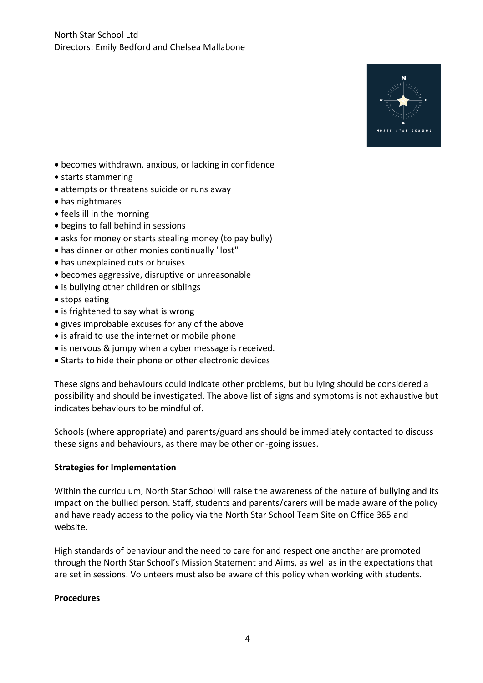

- becomes withdrawn, anxious, or lacking in confidence
- starts stammering
- attempts or threatens suicide or runs away
- has nightmares
- feels ill in the morning
- begins to fall behind in sessions
- asks for money or starts stealing money (to pay bully)
- has dinner or other monies continually "lost"
- has unexplained cuts or bruises
- becomes aggressive, disruptive or unreasonable
- is bullying other children or siblings
- stops eating
- is frightened to say what is wrong
- gives improbable excuses for any of the above
- is afraid to use the internet or mobile phone
- is nervous & jumpy when a cyber message is received.
- Starts to hide their phone or other electronic devices

These signs and behaviours could indicate other problems, but bullying should be considered a possibility and should be investigated. The above list of signs and symptoms is not exhaustive but indicates behaviours to be mindful of.

Schools (where appropriate) and parents/guardians should be immediately contacted to discuss these signs and behaviours, as there may be other on-going issues.

#### **Strategies for Implementation**

Within the curriculum, North Star School will raise the awareness of the nature of bullying and its impact on the bullied person. Staff, students and parents/carers will be made aware of the policy and have ready access to the policy via the North Star School Team Site on Office 365 and website.

High standards of behaviour and the need to care for and respect one another are promoted through the North Star School's Mission Statement and Aims, as well as in the expectations that are set in sessions. Volunteers must also be aware of this policy when working with students.

#### **Procedures**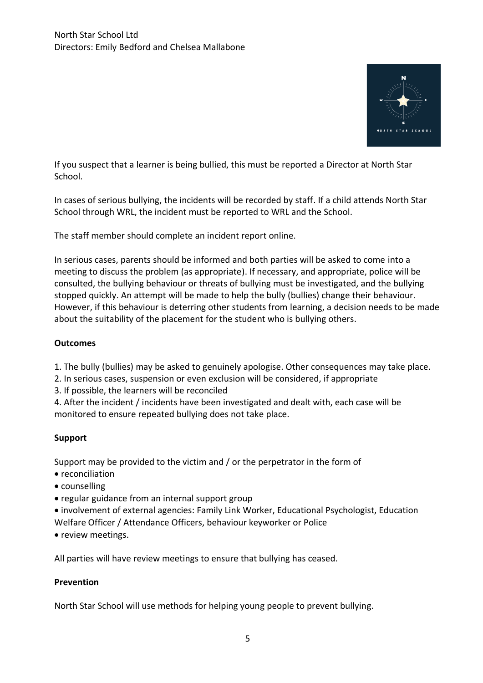

If you suspect that a learner is being bullied, this must be reported a Director at North Star School.

In cases of serious bullying, the incidents will be recorded by staff. If a child attends North Star School through WRL, the incident must be reported to WRL and the School.

The staff member should complete an incident report online.

In serious cases, parents should be informed and both parties will be asked to come into a meeting to discuss the problem (as appropriate). If necessary, and appropriate, police will be consulted, the bullying behaviour or threats of bullying must be investigated, and the bullying stopped quickly. An attempt will be made to help the bully (bullies) change their behaviour. However, if this behaviour is deterring other students from learning, a decision needs to be made about the suitability of the placement for the student who is bullying others.

## **Outcomes**

1. The bully (bullies) may be asked to genuinely apologise. Other consequences may take place.

2. In serious cases, suspension or even exclusion will be considered, if appropriate

3. If possible, the learners will be reconciled

4. After the incident / incidents have been investigated and dealt with, each case will be monitored to ensure repeated bullying does not take place.

## **Support**

Support may be provided to the victim and / or the perpetrator in the form of

- reconciliation
- counselling
- regular guidance from an internal support group

• involvement of external agencies: Family Link Worker, Educational Psychologist, Education Welfare Officer / Attendance Officers, behaviour keyworker or Police

• review meetings.

All parties will have review meetings to ensure that bullying has ceased.

## **Prevention**

North Star School will use methods for helping young people to prevent bullying.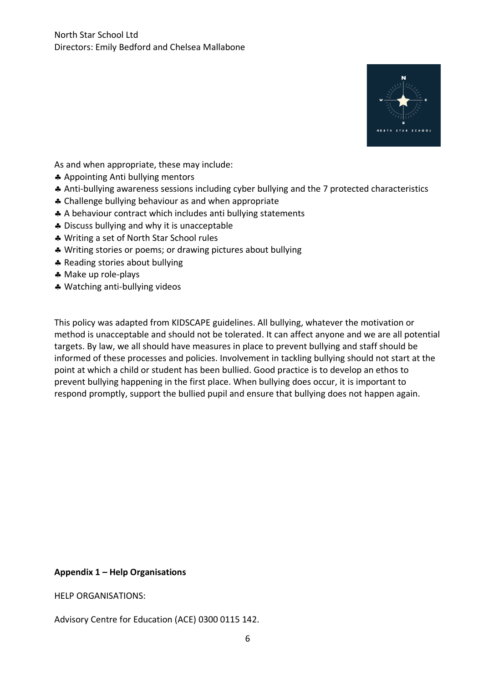

As and when appropriate, these may include:

- Appointing Anti bullying mentors
- Anti-bullying awareness sessions including cyber bullying and the 7 protected characteristics
- \* Challenge bullying behaviour as and when appropriate
- A behaviour contract which includes anti bullying statements
- \* Discuss bullying and why it is unacceptable
- Writing a set of North Star School rules
- Writing stories or poems; or drawing pictures about bullying
- \* Reading stories about bullying
- Make up role-plays
- Watching anti-bullying videos

This policy was adapted from KIDSCAPE guidelines. All bullying, whatever the motivation or method is unacceptable and should not be tolerated. It can affect anyone and we are all potential targets. By law, we all should have measures in place to prevent bullying and staff should be informed of these processes and policies. Involvement in tackling bullying should not start at the point at which a child or student has been bullied. Good practice is to develop an ethos to prevent bullying happening in the first place. When bullying does occur, it is important to respond promptly, support the bullied pupil and ensure that bullying does not happen again.

#### **Appendix 1 – Help Organisations**

HELP ORGANISATIONS:

Advisory Centre for Education (ACE) 0300 0115 142.